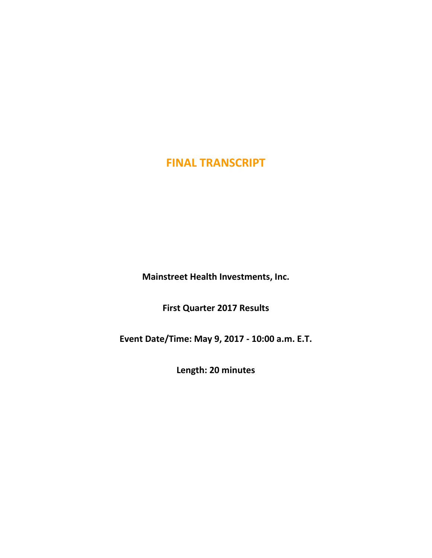**Mainstreet Health Investments, Inc.**

**First Quarter 2017 Results**

**Event Date/Time: May 9, 2017 - 10:00 a.m. E.T.**

**Length: 20 minutes**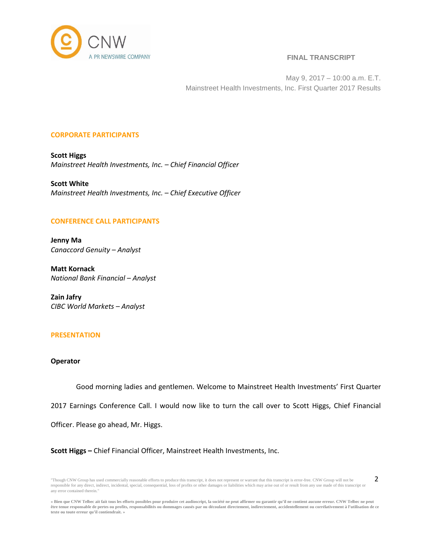

2

May 9, 2017 – 10:00 a.m. E.T. Mainstreet Health Investments, Inc. First Quarter 2017 Results

## **CORPORATE PARTICIPANTS**

**Scott Higgs** *Mainstreet Health Investments, Inc. – Chief Financial Officer*

**Scott White** *Mainstreet Health Investments, Inc. – Chief Executive Officer*

## **CONFERENCE CALL PARTICIPANTS**

**Jenny Ma** *Canaccord Genuity – Analyst*

**Matt Kornack** *National Bank Financial – Analyst*

**Zain Jafry** *CIBC World Markets – Analyst*

## **PRESENTATION**

# **Operator**

Good morning ladies and gentlemen. Welcome to Mainstreet Health Investments' First Quarter

2017 Earnings Conference Call. I would now like to turn the call over to Scott Higgs, Chief Financial

Officer. Please go ahead, Mr. Higgs.

**Scott Higgs –** Chief Financial Officer, Mainstreet Health Investments, Inc.

<sup>&</sup>quot;Though CNW Group has used commercially reasonable efforts to produce this transcript, it does not represent or warrant that this transcript is error-free. CNW Group will not be responsible for any direct, indirect, incidental, special, consequential, loss of profits or other damages or liabilities which may arise out of or result from any use made of this transcript or any error contained therein."

<sup>«</sup> Bien que CNW Telbec ait fait tous les efforts possibles pour produire cet audioscript, la société ne peut affirmer ou garantir qu'il ne contient aucune erreur. CNW Telbec ne peut être tenue responsable de pertes ou profits, responsabilités ou dommages causés par ou découlant directement, indirectement, accidentellement ou corrélativement à l'utilisation de ce **texte ou toute erreur qu'il contiendrait. »**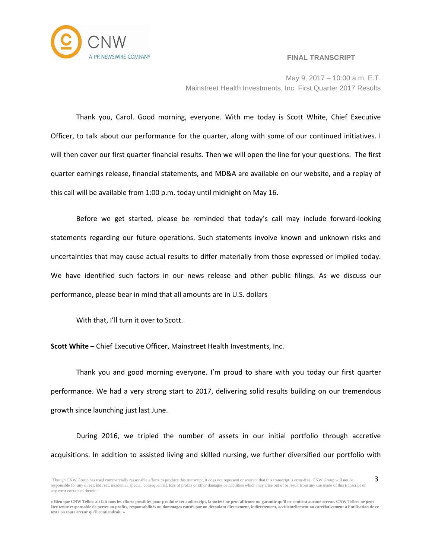

May 9, 2017 – 10:00 a.m. E.T. Mainstreet Health Investments, Inc. First Quarter 2017 Results

Thank you, Carol. Good morning, everyone. With me today is Scott White, Chief Executive Officer, to talk about our performance for the quarter, along with some of our continued initiatives. I will then cover our first quarter financial results. Then we will open the line for your questions. The first quarter earnings release, financial statements, and MD&A are available on our website, and a replay of this call will be available from 1:00 p.m. today until midnight on May 16.

Before we get started, please be reminded that today's call may include forward-looking statements regarding our future operations. Such statements involve known and unknown risks and uncertainties that may cause actual results to differ materially from those expressed or implied today. We have identified such factors in our news release and other public filings. As we discuss our performance, please bear in mind that all amounts are in U.S. dollars

With that, I'll turn it over to Scott.

**Scott White** – Chief Executive Officer, Mainstreet Health Investments, Inc.

Thank you and good morning everyone. I'm proud to share with you today our first quarter performance. We had a very strong start to 2017, delivering solid results building on our tremendous growth since launching just last June.

During 2016, we tripled the number of assets in our initial portfolio through accretive acquisitions. In addition to assisted living and skilled nursing, we further diversified our portfolio with

<sup>&</sup>quot;Though CNW Group has used commercially reasonable efforts to produce this transcript, it does not represent or warrant that this transcript is error-free. CNW Group will not be responsible for any direct, indirect, incidental, special, consequential, loss of profits or other damages or liabilities which may arise out of or result from any use made of this transcript or any error contained therein." 3

<sup>«</sup> Bien que CNW Telbec ait fait tous les efforts possibles pour produire cet audioscript, la société ne peut affirmer ou garantir qu'il ne contient aucune erreur. CNW Telbec ne peut être tenue responsable de pertes ou profits, responsabilités ou dommages causés par ou découlant directement, indirectement, accidentellement ou corrélativement à l'utilisation de ce **texte ou toute erreur qu'il contiendrait. »**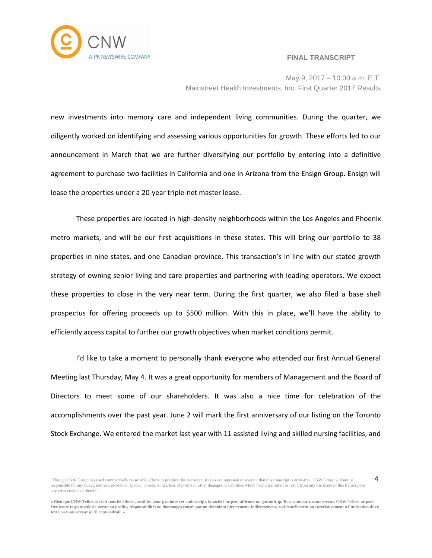

4

May 9, 2017 – 10:00 a.m. E.T. Mainstreet Health Investments, Inc. First Quarter 2017 Results

new investments into memory care and independent living communities. During the quarter, we diligently worked on identifying and assessing various opportunities for growth. These efforts led to our announcement in March that we are further diversifying our portfolio by entering into a definitive agreement to purchase two facilities in California and one in Arizona from the Ensign Group. Ensign will lease the properties under a 20-year triple-net master lease.

These properties are located in high-density neighborhoods within the Los Angeles and Phoenix metro markets, and will be our first acquisitions in these states. This will bring our portfolio to 38 properties in nine states, and one Canadian province. This transaction's in line with our stated growth strategy of owning senior living and care properties and partnering with leading operators. We expect these properties to close in the very near term. During the first quarter, we also filed a base shell prospectus for offering proceeds up to \$500 million. With this in place, we'll have the ability to efficiently access capital to further our growth objectives when market conditions permit.

I'd like to take a moment to personally thank everyone who attended our first Annual General Meeting last Thursday, May 4. It was a great opportunity for members of Management and the Board of Directors to meet some of our shareholders. It was also a nice time for celebration of the accomplishments over the past year. June 2 will mark the first anniversary of our listing on the Toronto Stock Exchange. We entered the market last year with 11 assisted living and skilled nursing facilities, and

<sup>&</sup>quot;Though CNW Group has used commercially reasonable efforts to produce this transcript, it does not represent or warrant that this transcript is error-free. CNW Group will not be responsible for any direct, indirect, incidental, special, consequential, loss of profits or other damages or liabilities which may arise out of or result from any use made of this transcript or any error contained therein."

<sup>«</sup> Bien que CNW Telbec ait fait tous les efforts possibles pour produire cet audioscript, la société ne peut affirmer ou garantir qu'il ne contient aucune erreur. CNW Telbec ne peut être tenue responsable de pertes ou profits, responsabilités ou dommages causés par ou découlant directement, indirectement, accidentellement ou corrélativement à l'utilisation de ce **texte ou toute erreur qu'il contiendrait. »**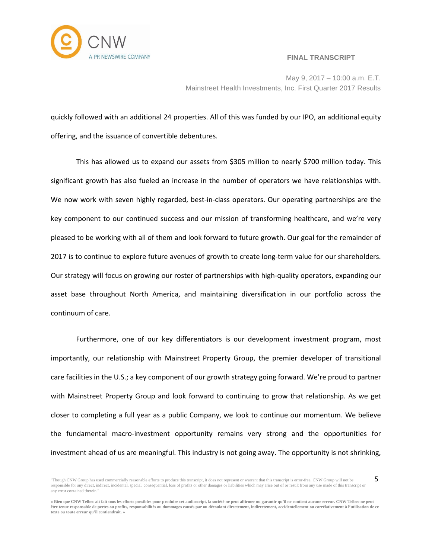

May 9, 2017 – 10:00 a.m. E.T. Mainstreet Health Investments, Inc. First Quarter 2017 Results

quickly followed with an additional 24 properties. All of this was funded by our IPO, an additional equity offering, and the issuance of convertible debentures.

This has allowed us to expand our assets from \$305 million to nearly \$700 million today. This significant growth has also fueled an increase in the number of operators we have relationships with. We now work with seven highly regarded, best-in-class operators. Our operating partnerships are the key component to our continued success and our mission of transforming healthcare, and we're very pleased to be working with all of them and look forward to future growth. Our goal for the remainder of 2017 is to continue to explore future avenues of growth to create long-term value for our shareholders. Our strategy will focus on growing our roster of partnerships with high-quality operators, expanding our asset base throughout North America, and maintaining diversification in our portfolio across the continuum of care.

Furthermore, one of our key differentiators is our development investment program, most importantly, our relationship with Mainstreet Property Group, the premier developer of transitional care facilities in the U.S.; a key component of our growth strategy going forward. We're proud to partner with Mainstreet Property Group and look forward to continuing to grow that relationship. As we get closer to completing a full year as a public Company, we look to continue our momentum. We believe the fundamental macro-investment opportunity remains very strong and the opportunities for investment ahead of us are meaningful. This industry is not going away. The opportunity is not shrinking,

<sup>&</sup>quot;Though CNW Group has used commercially reasonable efforts to produce this transcript, it does not represent or warrant that this transcript is error-free. CNW Group will not be responsible for any direct, indirect, incidental, special, consequential, loss of profits or other damages or liabilities which may arise out of or result from any use made of this transcript or any error contained therein." 5

<sup>«</sup> Bien que CNW Telbec ait fait tous les efforts possibles pour produire cet audioscript, la société ne peut affirmer ou garantir qu'il ne contient aucune erreur. CNW Telbec ne peut être tenue responsable de pertes ou profits, responsabilités ou dommages causés par ou découlant directement, indirectement, accidentellement ou corrélativement à l'utilisation de ce **texte ou toute erreur qu'il contiendrait. »**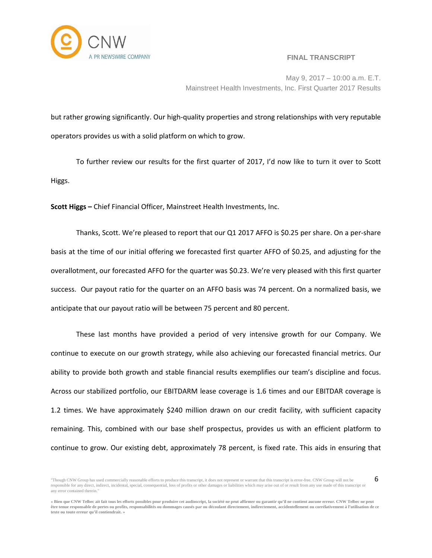

6

May 9, 2017 – 10:00 a.m. E.T. Mainstreet Health Investments, Inc. First Quarter 2017 Results

but rather growing significantly. Our high-quality properties and strong relationships with very reputable operators provides us with a solid platform on which to grow.

To further review our results for the first quarter of 2017, I'd now like to turn it over to Scott Higgs.

**Scott Higgs –** Chief Financial Officer, Mainstreet Health Investments, Inc.

Thanks, Scott. We're pleased to report that our Q1 2017 AFFO is \$0.25 per share. On a per-share basis at the time of our initial offering we forecasted first quarter AFFO of \$0.25, and adjusting for the overallotment, our forecasted AFFO for the quarter was \$0.23. We're very pleased with this first quarter success. Our payout ratio for the quarter on an AFFO basis was 74 percent. On a normalized basis, we anticipate that our payout ratio will be between 75 percent and 80 percent.

These last months have provided a period of very intensive growth for our Company. We continue to execute on our growth strategy, while also achieving our forecasted financial metrics. Our ability to provide both growth and stable financial results exemplifies our team's discipline and focus. Across our stabilized portfolio, our EBITDARM lease coverage is 1.6 times and our EBITDAR coverage is 1.2 times. We have approximately \$240 million drawn on our credit facility, with sufficient capacity remaining. This, combined with our base shelf prospectus, provides us with an efficient platform to continue to grow. Our existing debt, approximately 78 percent, is fixed rate. This aids in ensuring that

<sup>&</sup>quot;Though CNW Group has used commercially reasonable efforts to produce this transcript, it does not represent or warrant that this transcript is error-free. CNW Group will not be responsible for any direct, indirect, incidental, special, consequential, loss of profits or other damages or liabilities which may arise out of or result from any use made of this transcript or any error contained therein."

<sup>«</sup> Bien que CNW Telbec ait fait tous les efforts possibles pour produire cet audioscript, la société ne peut affirmer ou garantir qu'il ne contient aucune erreur. CNW Telbec ne peut être tenue responsable de pertes ou profits, responsabilités ou dommages causés par ou découlant directement, indirectement, accidentellement ou corrélativement à l'utilisation de ce **texte ou toute erreur qu'il contiendrait. »**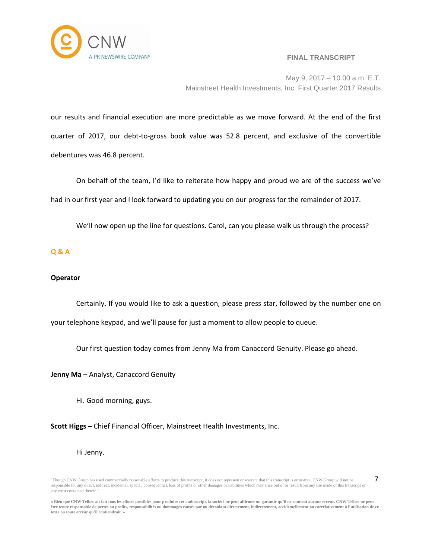

7

May 9, 2017 – 10:00 a.m. E.T. Mainstreet Health Investments, Inc. First Quarter 2017 Results

our results and financial execution are more predictable as we move forward. At the end of the first quarter of 2017, our debt-to-gross book value was 52.8 percent, and exclusive of the convertible debentures was 46.8 percent.

On behalf of the team, I'd like to reiterate how happy and proud we are of the success we've had in our first year and I look forward to updating you on our progress for the remainder of 2017.

We'll now open up the line for questions. Carol, can you please walk us through the process?

# **Q & A**

# **Operator**

Certainly. If you would like to ask a question, please press star, followed by the number one on your telephone keypad, and we'll pause for just a moment to allow people to queue.

Our first question today comes from Jenny Ma from Canaccord Genuity. Please go ahead.

**Jenny Ma** – Analyst, Canaccord Genuity

Hi. Good morning, guys.

**Scott Higgs –** Chief Financial Officer, Mainstreet Health Investments, Inc.

## Hi Jenny.

<sup>&</sup>quot;Though CNW Group has used commercially reasonable efforts to produce this transcript, it does not represent or warrant that this transcript is error-free. CNW Group will not be responsible for any direct, indirect, incidental, special, consequential, loss of profits or other damages or liabilities which may arise out of or result from any use made of this transcript or any error contained therein."

<sup>«</sup> Bien que CNW Telbec ait fait tous les efforts possibles pour produire cet audioscript, la société ne peut affirmer ou garantir qu'il ne contient aucune erreur. CNW Telbec ne peut être tenue responsable de pertes ou profits, responsabilités ou dommages causés par ou découlant directement, indirectement, accidentellement ou corrélativement à l'utilisation de ce **texte ou toute erreur qu'il contiendrait. »**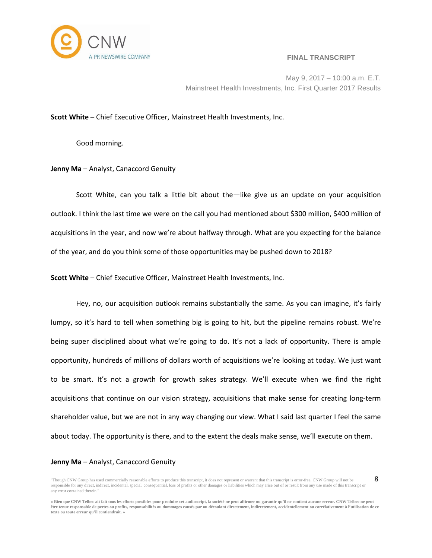

8

May 9, 2017 – 10:00 a.m. E.T. Mainstreet Health Investments, Inc. First Quarter 2017 Results

#### **Scott White** – Chief Executive Officer, Mainstreet Health Investments, Inc.

Good morning.

**Jenny Ma** – Analyst, Canaccord Genuity

Scott White, can you talk a little bit about the—like give us an update on your acquisition outlook. I think the last time we were on the call you had mentioned about \$300 million, \$400 million of acquisitions in the year, and now we're about halfway through. What are you expecting for the balance of the year, and do you think some of those opportunities may be pushed down to 2018?

**Scott White** – Chief Executive Officer, Mainstreet Health Investments, Inc.

Hey, no, our acquisition outlook remains substantially the same. As you can imagine, it's fairly lumpy, so it's hard to tell when something big is going to hit, but the pipeline remains robust. We're being super disciplined about what we're going to do. It's not a lack of opportunity. There is ample opportunity, hundreds of millions of dollars worth of acquisitions we're looking at today. We just want to be smart. It's not a growth for growth sakes strategy. We'll execute when we find the right acquisitions that continue on our vision strategy, acquisitions that make sense for creating long-term shareholder value, but we are not in any way changing our view. What I said last quarter I feel the same about today. The opportunity is there, and to the extent the deals make sense, we'll execute on them.

#### **Jenny Ma** – Analyst, Canaccord Genuity

<sup>&</sup>quot;Though CNW Group has used commercially reasonable efforts to produce this transcript, it does not represent or warrant that this transcript is error-free. CNW Group will not be responsible for any direct, indirect, incidental, special, consequential, loss of profits or other damages or liabilities which may arise out of or result from any use made of this transcript or any error contained therein."

<sup>«</sup> Bien que CNW Telbec ait fait tous les efforts possibles pour produire cet audioscript, la société ne peut affirmer ou garantir qu'il ne contient aucune erreur. CNW Telbec ne peut être tenue responsable de pertes ou profits, responsabilités ou dommages causés par ou découlant directement, indirectement, accidentellement ou corrélativement à l'utilisation de ce **texte ou toute erreur qu'il contiendrait. »**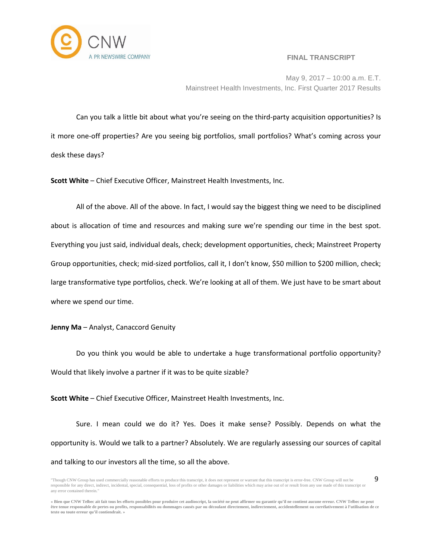

9

May 9, 2017 – 10:00 a.m. E.T. Mainstreet Health Investments, Inc. First Quarter 2017 Results

Can you talk a little bit about what you're seeing on the third-party acquisition opportunities? Is it more one-off properties? Are you seeing big portfolios, small portfolios? What's coming across your desk these days?

**Scott White** – Chief Executive Officer, Mainstreet Health Investments, Inc.

All of the above. All of the above. In fact, I would say the biggest thing we need to be disciplined about is allocation of time and resources and making sure we're spending our time in the best spot. Everything you just said, individual deals, check; development opportunities, check; Mainstreet Property Group opportunities, check; mid-sized portfolios, call it, I don't know, \$50 million to \$200 million, check; large transformative type portfolios, check. We're looking at all of them. We just have to be smart about where we spend our time.

**Jenny Ma** – Analyst, Canaccord Genuity

Do you think you would be able to undertake a huge transformational portfolio opportunity? Would that likely involve a partner if it was to be quite sizable?

**Scott White** – Chief Executive Officer, Mainstreet Health Investments, Inc.

Sure. I mean could we do it? Yes. Does it make sense? Possibly. Depends on what the opportunity is. Would we talk to a partner? Absolutely. We are regularly assessing our sources of capital and talking to our investors all the time, so all the above.

<sup>&</sup>quot;Though CNW Group has used commercially reasonable efforts to produce this transcript, it does not represent or warrant that this transcript is error-free. CNW Group will not be responsible for any direct, indirect, incidental, special, consequential, loss of profits or other damages or liabilities which may arise out of or result from any use made of this transcript or any error contained therein."

<sup>«</sup> Bien que CNW Telbec ait fait tous les efforts possibles pour produire cet audioscript, la société ne peut affirmer ou garantir qu'il ne contient aucune erreur. CNW Telbec ne peut être tenue responsable de pertes ou profits, responsabilités ou dommages causés par ou découlant directement, indirectement, accidentellement ou corrélativement à l'utilisation de ce **texte ou toute erreur qu'il contiendrait. »**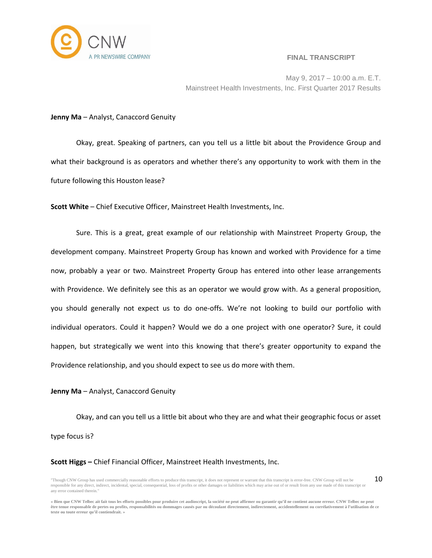

May 9, 2017 – 10:00 a.m. E.T. Mainstreet Health Investments, Inc. First Quarter 2017 Results

#### **Jenny Ma** – Analyst, Canaccord Genuity

Okay, great. Speaking of partners, can you tell us a little bit about the Providence Group and what their background is as operators and whether there's any opportunity to work with them in the future following this Houston lease?

**Scott White** – Chief Executive Officer, Mainstreet Health Investments, Inc.

Sure. This is a great, great example of our relationship with Mainstreet Property Group, the development company. Mainstreet Property Group has known and worked with Providence for a time now, probably a year or two. Mainstreet Property Group has entered into other lease arrangements with Providence. We definitely see this as an operator we would grow with. As a general proposition, you should generally not expect us to do one-offs. We're not looking to build our portfolio with individual operators. Could it happen? Would we do a one project with one operator? Sure, it could happen, but strategically we went into this knowing that there's greater opportunity to expand the Providence relationship, and you should expect to see us do more with them.

## **Jenny Ma** – Analyst, Canaccord Genuity

Okay, and can you tell us a little bit about who they are and what their geographic focus or asset type focus is?

#### **Scott Higgs –** Chief Financial Officer, Mainstreet Health Investments, Inc.

<sup>&</sup>quot;Though CNW Group has used commercially reasonable efforts to produce this transcript, it does not represent or warrant that this transcript is error-free. CNW Group will not be responsible for any direct, indirect, incidental, special, consequential, loss of profits or other damages or liabilities which may arise out of or result from any use made of this transcript or any error contained therein." 10

<sup>«</sup> Bien que CNW Telbec ait fait tous les efforts possibles pour produire cet audioscript, la société ne peut affirmer ou garantir qu'il ne contient aucune erreur. CNW Telbec ne peut être tenue responsable de pertes ou profits, responsabilités ou dommages causés par ou découlant directement, indirectement, accidentellement ou corrélativement à l'utilisation de ce **texte ou toute erreur qu'il contiendrait. »**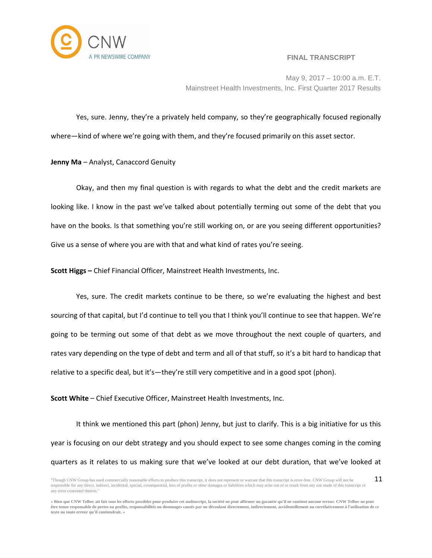

May 9, 2017 – 10:00 a.m. E.T. Mainstreet Health Investments, Inc. First Quarter 2017 Results

Yes, sure. Jenny, they're a privately held company, so they're geographically focused regionally where—kind of where we're going with them, and they're focused primarily on this asset sector.

**Jenny Ma** – Analyst, Canaccord Genuity

Okay, and then my final question is with regards to what the debt and the credit markets are looking like. I know in the past we've talked about potentially terming out some of the debt that you have on the books. Is that something you're still working on, or are you seeing different opportunities? Give us a sense of where you are with that and what kind of rates you're seeing.

**Scott Higgs –** Chief Financial Officer, Mainstreet Health Investments, Inc.

Yes, sure. The credit markets continue to be there, so we're evaluating the highest and best sourcing of that capital, but I'd continue to tell you that I think you'll continue to see that happen. We're going to be terming out some of that debt as we move throughout the next couple of quarters, and rates vary depending on the type of debt and term and all of that stuff, so it's a bit hard to handicap that relative to a specific deal, but it's—they're still very competitive and in a good spot (phon).

**Scott White** – Chief Executive Officer, Mainstreet Health Investments, Inc.

It think we mentioned this part (phon) Jenny, but just to clarify. This is a big initiative for us this year is focusing on our debt strategy and you should expect to see some changes coming in the coming quarters as it relates to us making sure that we've looked at our debt duration, that we've looked at

<sup>&</sup>quot;Though CNW Group has used commercially reasonable efforts to produce this transcript, it does not represent or warrant that this transcript is error-free. CNW Group will not be responsible for any direct, indirect, incidental, special, consequential, loss of profits or other damages or liabilities which may arise out of or result from any use made of this transcript or any error contained therein." 11

<sup>«</sup> Bien que CNW Telbec ait fait tous les efforts possibles pour produire cet audioscript, la société ne peut affirmer ou garantir qu'il ne contient aucune erreur. CNW Telbec ne peut être tenue responsable de pertes ou profits, responsabilités ou dommages causés par ou découlant directement, indirectement, accidentellement ou corrélativement à l'utilisation de ce **texte ou toute erreur qu'il contiendrait. »**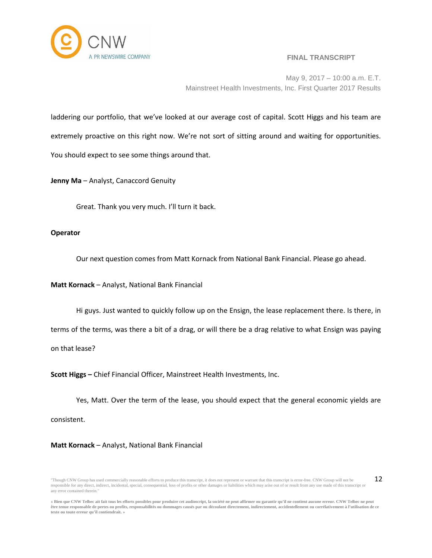

May 9, 2017 – 10:00 a.m. E.T. Mainstreet Health Investments, Inc. First Quarter 2017 Results

laddering our portfolio, that we've looked at our average cost of capital. Scott Higgs and his team are extremely proactive on this right now. We're not sort of sitting around and waiting for opportunities. You should expect to see some things around that.

**Jenny Ma** – Analyst, Canaccord Genuity

Great. Thank you very much. I'll turn it back.

## **Operator**

Our next question comes from Matt Kornack from National Bank Financial. Please go ahead.

**Matt Kornack** – Analyst, National Bank Financial

Hi guys. Just wanted to quickly follow up on the Ensign, the lease replacement there. Is there, in terms of the terms, was there a bit of a drag, or will there be a drag relative to what Ensign was paying on that lease?

**Scott Higgs –** Chief Financial Officer, Mainstreet Health Investments, Inc.

Yes, Matt. Over the term of the lease, you should expect that the general economic yields are consistent.

**Matt Kornack** – Analyst, National Bank Financial

<sup>&</sup>quot;Though CNW Group has used commercially reasonable efforts to produce this transcript, it does not represent or warrant that this transcript is error-free. CNW Group will not be responsible for any direct, indirect, incidental, special, consequential, loss of profits or other damages or liabilities which may arise out of or result from any use made of this transcript or any error contained therein." 12

<sup>«</sup> Bien que CNW Telbec ait fait tous les efforts possibles pour produire cet audioscript, la société ne peut affirmer ou garantir qu'il ne contient aucune erreur. CNW Telbec ne peut être tenue responsable de pertes ou profits, responsabilités ou dommages causés par ou découlant directement, indirectement, accidentellement ou corrélativement à l'utilisation de ce **texte ou toute erreur qu'il contiendrait. »**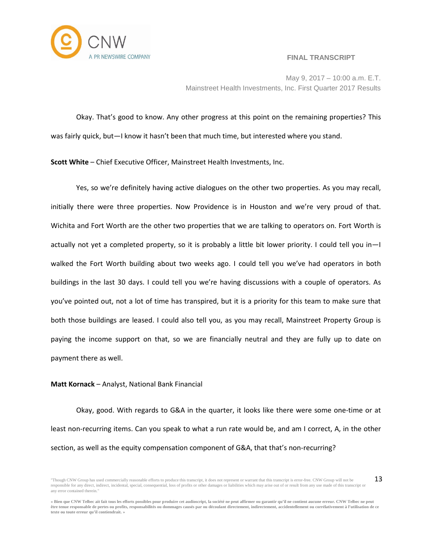

May 9, 2017 – 10:00 a.m. E.T. Mainstreet Health Investments, Inc. First Quarter 2017 Results

Okay. That's good to know. Any other progress at this point on the remaining properties? This was fairly quick, but—I know it hasn't been that much time, but interested where you stand.

**Scott White** – Chief Executive Officer, Mainstreet Health Investments, Inc.

Yes, so we're definitely having active dialogues on the other two properties. As you may recall, initially there were three properties. Now Providence is in Houston and we're very proud of that. Wichita and Fort Worth are the other two properties that we are talking to operators on. Fort Worth is actually not yet a completed property, so it is probably a little bit lower priority. I could tell you in—I walked the Fort Worth building about two weeks ago. I could tell you we've had operators in both buildings in the last 30 days. I could tell you we're having discussions with a couple of operators. As you've pointed out, not a lot of time has transpired, but it is a priority for this team to make sure that both those buildings are leased. I could also tell you, as you may recall, Mainstreet Property Group is paying the income support on that, so we are financially neutral and they are fully up to date on payment there as well.

## **Matt Kornack** – Analyst, National Bank Financial

Okay, good. With regards to G&A in the quarter, it looks like there were some one-time or at least non-recurring items. Can you speak to what a run rate would be, and am I correct, A, in the other section, as well as the equity compensation component of G&A, that that's non-recurring?

<sup>&</sup>quot;Though CNW Group has used commercially reasonable efforts to produce this transcript, it does not represent or warrant that this transcript is error-free. CNW Group will not be responsible for any direct, indirect, incidental, special, consequential, loss of profits or other damages or liabilities which may arise out of or result from any use made of this transcript or any error contained therein." 13

<sup>«</sup> Bien que CNW Telbec ait fait tous les efforts possibles pour produire cet audioscript, la société ne peut affirmer ou garantir qu'il ne contient aucune erreur. CNW Telbec ne peut être tenue responsable de pertes ou profits, responsabilités ou dommages causés par ou découlant directement, indirectement, accidentellement ou corrélativement à l'utilisation de ce **texte ou toute erreur qu'il contiendrait. »**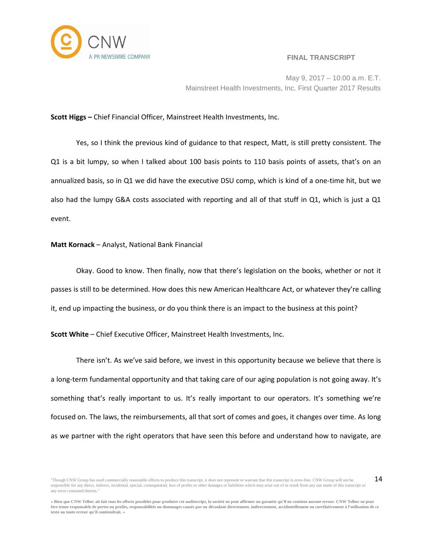

May 9, 2017 – 10:00 a.m. E.T. Mainstreet Health Investments, Inc. First Quarter 2017 Results

## **Scott Higgs –** Chief Financial Officer, Mainstreet Health Investments, Inc.

Yes, so I think the previous kind of guidance to that respect, Matt, is still pretty consistent. The Q1 is a bit lumpy, so when I talked about 100 basis points to 110 basis points of assets, that's on an annualized basis, so in Q1 we did have the executive DSU comp, which is kind of a one-time hit, but we also had the lumpy G&A costs associated with reporting and all of that stuff in Q1, which is just a Q1 event.

#### **Matt Kornack** – Analyst, National Bank Financial

Okay. Good to know. Then finally, now that there's legislation on the books, whether or not it passes is still to be determined. How does this new American Healthcare Act, or whatever they're calling it, end up impacting the business, or do you think there is an impact to the business at this point?

**Scott White** – Chief Executive Officer, Mainstreet Health Investments, Inc.

There isn't. As we've said before, we invest in this opportunity because we believe that there is a long-term fundamental opportunity and that taking care of our aging population is not going away. It's something that's really important to us. It's really important to our operators. It's something we're focused on. The laws, the reimbursements, all that sort of comes and goes, it changes over time. As long as we partner with the right operators that have seen this before and understand how to navigate, are

<sup>&</sup>quot;Though CNW Group has used commercially reasonable efforts to produce this transcript, it does not represent or warrant that this transcript is error-free. CNW Group will not be responsible for any direct, indirect, incidental, special, consequential, loss of profits or other damages or liabilities which may arise out of or result from any use made of this transcript or any error contained therein. 14

<sup>«</sup> Bien que CNW Telbec ait fait tous les efforts possibles pour produire cet audioscript, la société ne peut affirmer ou garantir qu'il ne contient aucune erreur. CNW Telbec ne peut être tenue responsable de pertes ou profits, responsabilités ou dommages causés par ou découlant directement, indirectement, accidentellement ou corrélativement à l'utilisation de ce **texte ou toute erreur qu'il contiendrait. »**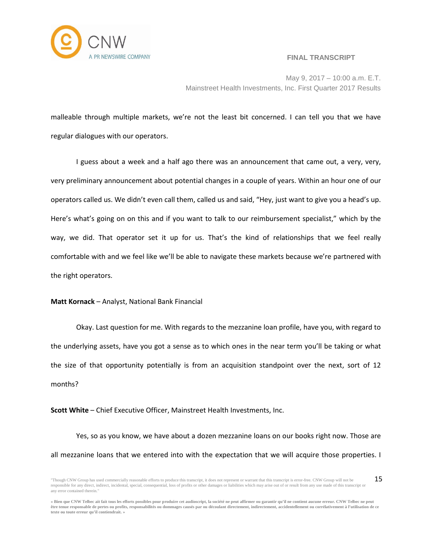

May 9, 2017 – 10:00 a.m. E.T. Mainstreet Health Investments, Inc. First Quarter 2017 Results

malleable through multiple markets, we're not the least bit concerned. I can tell you that we have regular dialogues with our operators.

I guess about a week and a half ago there was an announcement that came out, a very, very, very preliminary announcement about potential changes in a couple of years. Within an hour one of our operators called us. We didn't even call them, called us and said, "Hey, just want to give you a head's up. Here's what's going on on this and if you want to talk to our reimbursement specialist," which by the way, we did. That operator set it up for us. That's the kind of relationships that we feel really comfortable with and we feel like we'll be able to navigate these markets because we're partnered with the right operators.

## **Matt Kornack** – Analyst, National Bank Financial

Okay. Last question for me. With regards to the mezzanine loan profile, have you, with regard to the underlying assets, have you got a sense as to which ones in the near term you'll be taking or what the size of that opportunity potentially is from an acquisition standpoint over the next, sort of 12 months?

**Scott White** – Chief Executive Officer, Mainstreet Health Investments, Inc.

Yes, so as you know, we have about a dozen mezzanine loans on our books right now. Those are all mezzanine loans that we entered into with the expectation that we will acquire those properties. I

<sup>&</sup>quot;Though CNW Group has used commercially reasonable efforts to produce this transcript, it does not represent or warrant that this transcript is error-free. CNW Group will not be responsible for any direct, indirect, incidental, special, consequential, loss of profits or other damages or liabilities which may arise out of or result from any use made of this transcript or any error contained therein." 15

<sup>«</sup> Bien que CNW Telbec ait fait tous les efforts possibles pour produire cet audioscript, la société ne peut affirmer ou garantir qu'il ne contient aucune erreur. CNW Telbec ne peut être tenue responsable de pertes ou profits, responsabilités ou dommages causés par ou découlant directement, indirectement, accidentellement ou corrélativement à l'utilisation de ce **texte ou toute erreur qu'il contiendrait. »**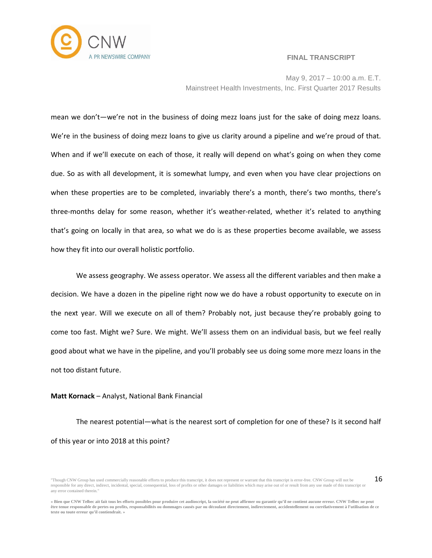

May 9, 2017 – 10:00 a.m. E.T. Mainstreet Health Investments, Inc. First Quarter 2017 Results

mean we don't—we're not in the business of doing mezz loans just for the sake of doing mezz loans. We're in the business of doing mezz loans to give us clarity around a pipeline and we're proud of that. When and if we'll execute on each of those, it really will depend on what's going on when they come due. So as with all development, it is somewhat lumpy, and even when you have clear projections on when these properties are to be completed, invariably there's a month, there's two months, there's three-months delay for some reason, whether it's weather-related, whether it's related to anything that's going on locally in that area, so what we do is as these properties become available, we assess how they fit into our overall holistic portfolio.

We assess geography. We assess operator. We assess all the different variables and then make a decision. We have a dozen in the pipeline right now we do have a robust opportunity to execute on in the next year. Will we execute on all of them? Probably not, just because they're probably going to come too fast. Might we? Sure. We might. We'll assess them on an individual basis, but we feel really good about what we have in the pipeline, and you'll probably see us doing some more mezz loans in the not too distant future.

## **Matt Kornack** – Analyst, National Bank Financial

The nearest potential—what is the nearest sort of completion for one of these? Is it second half of this year or into 2018 at this point?

<sup>&</sup>quot;Though CNW Group has used commercially reasonable efforts to produce this transcript, it does not represent or warrant that this transcript is error-free. CNW Group will not be responsible for any direct, indirect, incidental, special, consequential, loss of profits or other damages or liabilities which may arise out of or result from any use made of this transcript or any error contained therein." 16

<sup>«</sup> Bien que CNW Telbec ait fait tous les efforts possibles pour produire cet audioscript, la société ne peut affirmer ou garantir qu'il ne contient aucune erreur. CNW Telbec ne peut être tenue responsable de pertes ou profits, responsabilités ou dommages causés par ou découlant directement, indirectement, accidentellement ou corrélativement à l'utilisation de ce **texte ou toute erreur qu'il contiendrait. »**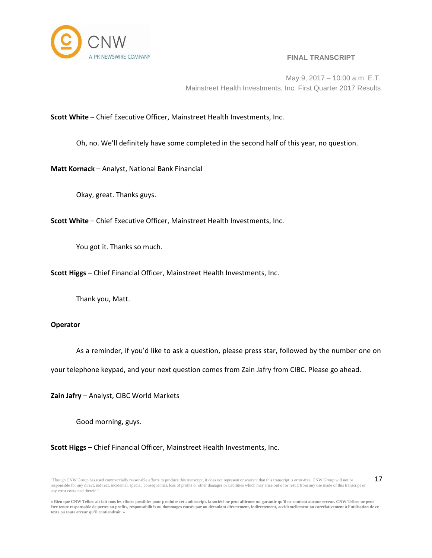

May 9, 2017 – 10:00 a.m. E.T. Mainstreet Health Investments, Inc. First Quarter 2017 Results

**Scott White** – Chief Executive Officer, Mainstreet Health Investments, Inc.

Oh, no. We'll definitely have some completed in the second half of this year, no question.

**Matt Kornack** – Analyst, National Bank Financial

Okay, great. Thanks guys.

**Scott White** – Chief Executive Officer, Mainstreet Health Investments, Inc.

You got it. Thanks so much.

**Scott Higgs –** Chief Financial Officer, Mainstreet Health Investments, Inc.

Thank you, Matt.

## **Operator**

As a reminder, if you'd like to ask a question, please press star, followed by the number one on

your telephone keypad, and your next question comes from Zain Jafry from CIBC. Please go ahead.

**Zain Jafry** – Analyst, CIBC World Markets

Good morning, guys.

**Scott Higgs –** Chief Financial Officer, Mainstreet Health Investments, Inc.

<sup>&</sup>quot;Though CNW Group has used commercially reasonable efforts to produce this transcript, it does not represent or warrant that this transcript is error-free. CNW Group will not be responsible for any direct, indirect, incidental, special, consequential, loss of profits or other damages or liabilities which may arise out of or result from any use made of this transcript or any error contained therein." 17

<sup>«</sup> Bien que CNW Telbec ait fait tous les efforts possibles pour produire cet audioscript, la société ne peut affirmer ou garantir qu'il ne contient aucune erreur. CNW Telbec ne peut être tenue responsable de pertes ou profits, responsabilités ou dommages causés par ou découlant directement, indirectement, accidentellement ou corrélativement à l'utilisation de ce **texte ou toute erreur qu'il contiendrait. »**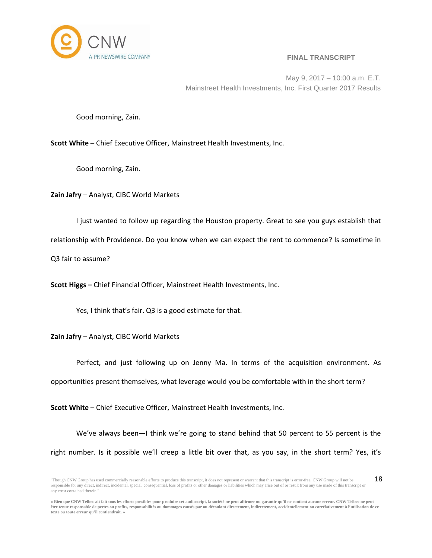

May 9, 2017 – 10:00 a.m. E.T. Mainstreet Health Investments, Inc. First Quarter 2017 Results

Good morning, Zain.

**Scott White** – Chief Executive Officer, Mainstreet Health Investments, Inc.

Good morning, Zain.

**Zain Jafry** – Analyst, CIBC World Markets

I just wanted to follow up regarding the Houston property. Great to see you guys establish that relationship with Providence. Do you know when we can expect the rent to commence? Is sometime in Q3 fair to assume?

**Scott Higgs –** Chief Financial Officer, Mainstreet Health Investments, Inc.

Yes, I think that's fair. Q3 is a good estimate for that.

**Zain Jafry** – Analyst, CIBC World Markets

Perfect, and just following up on Jenny Ma. In terms of the acquisition environment. As opportunities present themselves, what leverage would you be comfortable with in the short term?

**Scott White** – Chief Executive Officer, Mainstreet Health Investments, Inc.

We've always been—I think we're going to stand behind that 50 percent to 55 percent is the right number. Is it possible we'll creep a little bit over that, as you say, in the short term? Yes, it's

<sup>&</sup>quot;Though CNW Group has used commercially reasonable efforts to produce this transcript, it does not represent or warrant that this transcript is error-free. CNW Group will not be responsible for any direct, indirect, incidental, special, consequential, loss of profits or other damages or liabilities which may arise out of or result from any use made of this transcript or any error contained therein." 18

<sup>«</sup> Bien que CNW Telbec ait fait tous les efforts possibles pour produire cet audioscript, la société ne peut affirmer ou garantir qu'il ne contient aucune erreur. CNW Telbec ne peut être tenue responsable de pertes ou profits, responsabilités ou dommages causés par ou découlant directement, indirectement, accidentellement ou corrélativement à l'utilisation de ce **texte ou toute erreur qu'il contiendrait. »**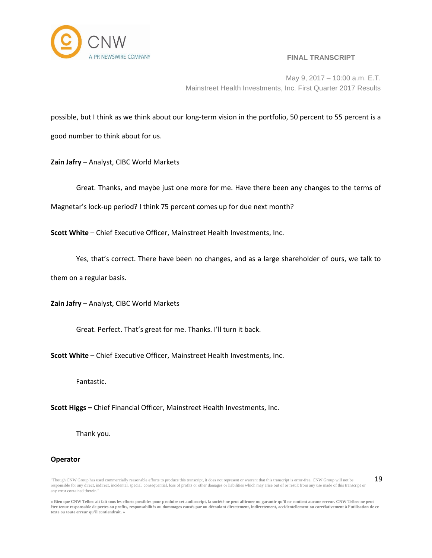

19

May 9, 2017 – 10:00 a.m. E.T. Mainstreet Health Investments, Inc. First Quarter 2017 Results

possible, but I think as we think about our long-term vision in the portfolio, 50 percent to 55 percent is a good number to think about for us.

**Zain Jafry** – Analyst, CIBC World Markets

Great. Thanks, and maybe just one more for me. Have there been any changes to the terms of Magnetar's lock-up period? I think 75 percent comes up for due next month?

**Scott White** – Chief Executive Officer, Mainstreet Health Investments, Inc.

Yes, that's correct. There have been no changes, and as a large shareholder of ours, we talk to

them on a regular basis.

**Zain Jafry** – Analyst, CIBC World Markets

Great. Perfect. That's great for me. Thanks. I'll turn it back.

**Scott White** – Chief Executive Officer, Mainstreet Health Investments, Inc.

Fantastic.

**Scott Higgs –** Chief Financial Officer, Mainstreet Health Investments, Inc.

Thank you.

## **Operator**

"Though CNW Group has used commercially reasonable efforts to produce this transcript, it does not represent or warrant that this transcript is error-free. CNW Group will not be responsible for any direct, indirect, incidental, special, consequential, loss of profits or other damages or liabilities which may arise out of or result from any use made of this transcript or any error contained therein."

« Bien que CNW Telbec ait fait tous les efforts possibles pour produire cet audioscript, la société ne peut affirmer ou garantir qu'il ne contient aucune erreur. CNW Telbec ne peut être tenue responsable de pertes ou profits, responsabilités ou dommages causés par ou découlant directement, indirectement, accidentellement ou corrélativement à l'utilisation de ce **texte ou toute erreur qu'il contiendrait. »**